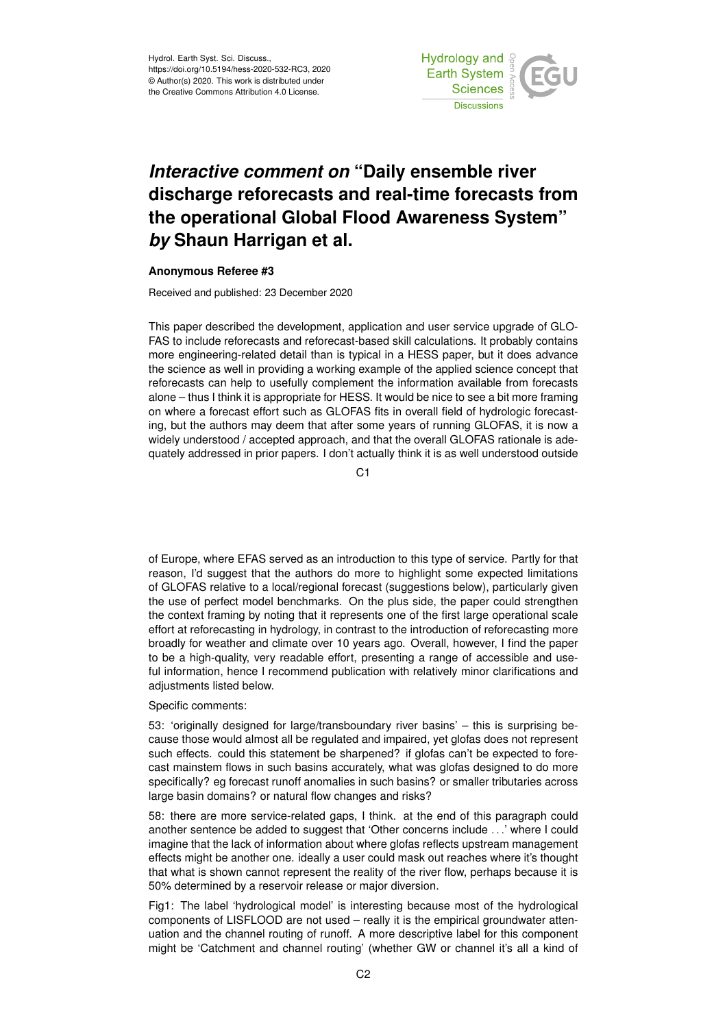Hydrol. Earth Syst. Sci. Discuss., https://doi.org/10.5194/hess-2020-532-RC3, 2020 © Author(s) 2020. This work is distributed under the Creative Commons Attribution 4.0 License.



## *Interactive comment on* **"Daily ensemble river discharge reforecasts and real-time forecasts from the operational Global Flood Awareness System"** *by* **Shaun Harrigan et al.**

## **Anonymous Referee #3**

Received and published: 23 December 2020

This paper described the development, application and user service upgrade of GLO-FAS to include reforecasts and reforecast-based skill calculations. It probably contains more engineering-related detail than is typical in a HESS paper, but it does advance the science as well in providing a working example of the applied science concept that reforecasts can help to usefully complement the information available from forecasts alone – thus I think it is appropriate for HESS. It would be nice to see a bit more framing on where a forecast effort such as GLOFAS fits in overall field of hydrologic forecasting, but the authors may deem that after some years of running GLOFAS, it is now a widely understood / accepted approach, and that the overall GLOFAS rationale is adequately addressed in prior papers. I don't actually think it is as well understood outside

 $C<sub>1</sub>$ 

of Europe, where EFAS served as an introduction to this type of service. Partly for that reason, I'd suggest that the authors do more to highlight some expected limitations of GLOFAS relative to a local/regional forecast (suggestions below), particularly given the use of perfect model benchmarks. On the plus side, the paper could strengthen the context framing by noting that it represents one of the first large operational scale effort at reforecasting in hydrology, in contrast to the introduction of reforecasting more broadly for weather and climate over 10 years ago. Overall, however, I find the paper to be a high-quality, very readable effort, presenting a range of accessible and useful information, hence I recommend publication with relatively minor clarifications and adjustments listed below.

Specific comments:

53: 'originally designed for large/transboundary river basins' – this is surprising because those would almost all be regulated and impaired, yet glofas does not represent such effects. could this statement be sharpened? if glofas can't be expected to forecast mainstem flows in such basins accurately, what was glofas designed to do more specifically? eg forecast runoff anomalies in such basins? or smaller tributaries across large basin domains? or natural flow changes and risks?

58: there are more service-related gaps, I think. at the end of this paragraph could another sentence be added to suggest that 'Other concerns include . . .' where I could imagine that the lack of information about where glofas reflects upstream management effects might be another one. ideally a user could mask out reaches where it's thought that what is shown cannot represent the reality of the river flow, perhaps because it is 50% determined by a reservoir release or major diversion.

Fig1: The label 'hydrological model' is interesting because most of the hydrological components of LISFLOOD are not used – really it is the empirical groundwater attenuation and the channel routing of runoff. A more descriptive label for this component might be 'Catchment and channel routing' (whether GW or channel it's all a kind of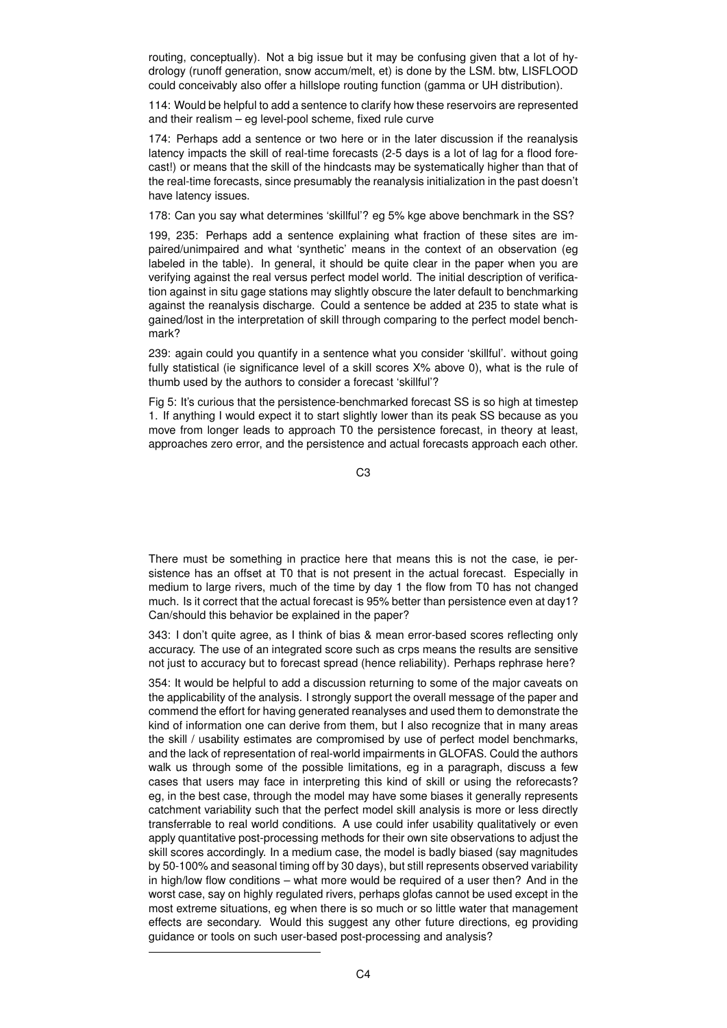routing, conceptually). Not a big issue but it may be confusing given that a lot of hydrology (runoff generation, snow accum/melt, et) is done by the LSM. btw, LISFLOOD could conceivably also offer a hillslope routing function (gamma or UH distribution).

114: Would be helpful to add a sentence to clarify how these reservoirs are represented and their realism – eg level-pool scheme, fixed rule curve

174: Perhaps add a sentence or two here or in the later discussion if the reanalysis latency impacts the skill of real-time forecasts (2-5 days is a lot of lag for a flood forecast!) or means that the skill of the hindcasts may be systematically higher than that of the real-time forecasts, since presumably the reanalysis initialization in the past doesn't have latency issues.

178: Can you say what determines 'skillful'? eg 5% kge above benchmark in the SS?

199, 235: Perhaps add a sentence explaining what fraction of these sites are impaired/unimpaired and what 'synthetic' means in the context of an observation (eg labeled in the table). In general, it should be quite clear in the paper when you are verifying against the real versus perfect model world. The initial description of verification against in situ gage stations may slightly obscure the later default to benchmarking against the reanalysis discharge. Could a sentence be added at 235 to state what is gained/lost in the interpretation of skill through comparing to the perfect model benchmark?

239: again could you quantify in a sentence what you consider 'skillful'. without going fully statistical (ie significance level of a skill scores X% above 0), what is the rule of thumb used by the authors to consider a forecast 'skillful'?

Fig 5: It's curious that the persistence-benchmarked forecast SS is so high at timestep 1. If anything I would expect it to start slightly lower than its peak SS because as you move from longer leads to approach T0 the persistence forecast, in theory at least, approaches zero error, and the persistence and actual forecasts approach each other.

C3

There must be something in practice here that means this is not the case, ie persistence has an offset at T0 that is not present in the actual forecast. Especially in medium to large rivers, much of the time by day 1 the flow from T0 has not changed much. Is it correct that the actual forecast is 95% better than persistence even at day1? Can/should this behavior be explained in the paper?

343: I don't quite agree, as I think of bias & mean error-based scores reflecting only accuracy. The use of an integrated score such as crps means the results are sensitive not just to accuracy but to forecast spread (hence reliability). Perhaps rephrase here?

354: It would be helpful to add a discussion returning to some of the major caveats on the applicability of the analysis. I strongly support the overall message of the paper and commend the effort for having generated reanalyses and used them to demonstrate the kind of information one can derive from them, but I also recognize that in many areas the skill / usability estimates are compromised by use of perfect model benchmarks, and the lack of representation of real-world impairments in GLOFAS. Could the authors walk us through some of the possible limitations, eg in a paragraph, discuss a few cases that users may face in interpreting this kind of skill or using the reforecasts? eg, in the best case, through the model may have some biases it generally represents catchment variability such that the perfect model skill analysis is more or less directly transferrable to real world conditions. A use could infer usability qualitatively or even apply quantitative post-processing methods for their own site observations to adjust the skill scores accordingly. In a medium case, the model is badly biased (say magnitudes by 50-100% and seasonal timing off by 30 days), but still represents observed variability in high/low flow conditions – what more would be required of a user then? And in the worst case, say on highly regulated rivers, perhaps glofas cannot be used except in the most extreme situations, eg when there is so much or so little water that management effects are secondary. Would this suggest any other future directions, eg providing guidance or tools on such user-based post-processing and analysis?